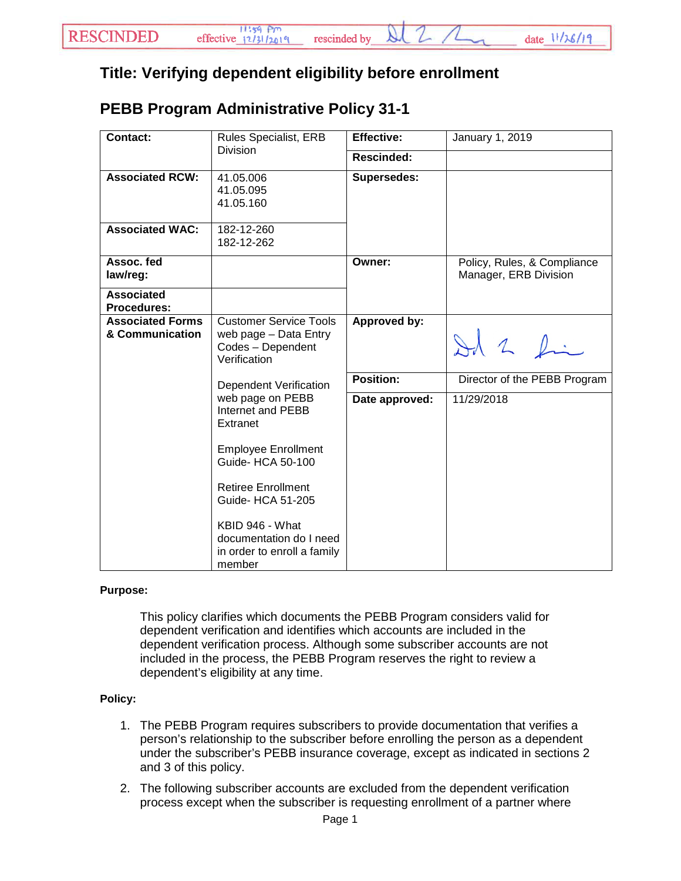## **Title: Verifying dependent eligibility before enrollment**

## **PEBB Program Administrative Policy 31-1**

| <b>Contact:</b>                            | <b>Rules Specialist, ERB</b><br><b>Division</b>                                                                                                                                                                                               | <b>Effective:</b>  | January 1, 2019                                      |
|--------------------------------------------|-----------------------------------------------------------------------------------------------------------------------------------------------------------------------------------------------------------------------------------------------|--------------------|------------------------------------------------------|
|                                            |                                                                                                                                                                                                                                               | Rescinded:         |                                                      |
| <b>Associated RCW:</b>                     | 41.05.006<br>41.05.095<br>41.05.160                                                                                                                                                                                                           | <b>Supersedes:</b> |                                                      |
| <b>Associated WAC:</b>                     | 182-12-260<br>182-12-262                                                                                                                                                                                                                      |                    |                                                      |
| Assoc. fed<br>law/reg:                     |                                                                                                                                                                                                                                               | Owner:             | Policy, Rules, & Compliance<br>Manager, ERB Division |
| <b>Associated</b><br><b>Procedures:</b>    |                                                                                                                                                                                                                                               |                    |                                                      |
| <b>Associated Forms</b><br>& Communication | <b>Customer Service Tools</b><br>web page - Data Entry<br>Codes - Dependent<br>Verification                                                                                                                                                   | Approved by:       | Id 2 fin                                             |
|                                            | <b>Dependent Verification</b>                                                                                                                                                                                                                 | Position:          | Director of the PEBB Program                         |
|                                            | web page on PEBB<br>Internet and PEBB<br>Extranet<br><b>Employee Enrollment</b><br>Guide- HCA 50-100<br><b>Retiree Enrollment</b><br>Guide- HCA 51-205<br>KBID 946 - What<br>documentation do I need<br>in order to enroll a family<br>member | Date approved:     | 11/29/2018                                           |

## **Purpose:**

This policy clarifies which documents the PEBB Program considers valid for dependent verification and identifies which accounts are included in the dependent verification process. Although some subscriber accounts are not included in the process, the PEBB Program reserves the right to review a dependent's eligibility at any time.

## **Policy:**

- 1. The PEBB Program requires subscribers to provide documentation that verifies a person's relationship to the subscriber before enrolling the person as a dependent under the subscriber's PEBB insurance coverage, except as indicated in sections 2 and 3 of this policy.
- 2. The following subscriber accounts are excluded from the dependent verification process except when the subscriber is requesting enrollment of a partner where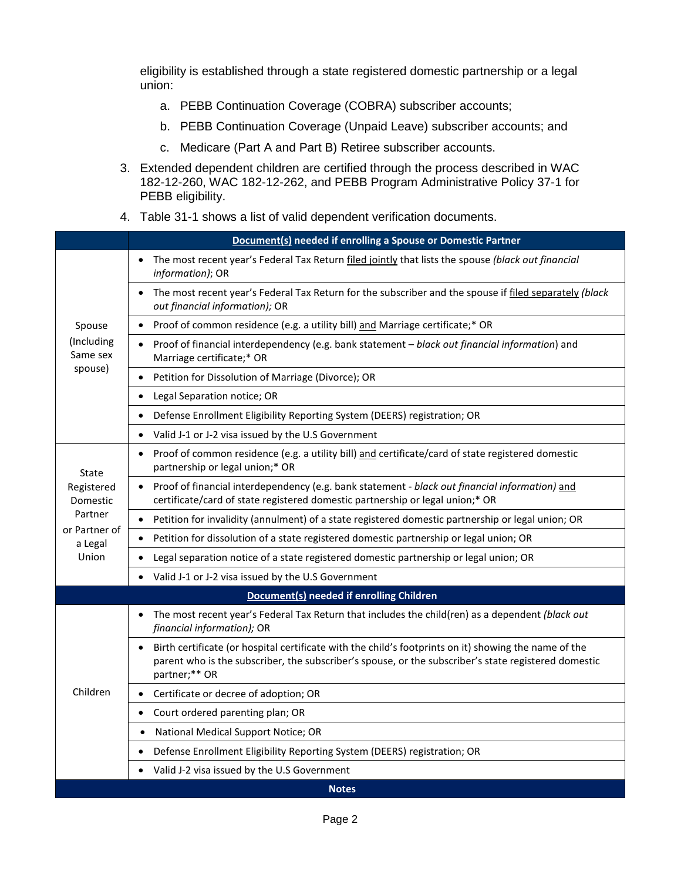eligibility is established through a state registered domestic partnership or a legal union:

- a. PEBB Continuation Coverage (COBRA) subscriber accounts;
- b. PEBB Continuation Coverage (Unpaid Leave) subscriber accounts; and
- c. Medicare (Part A and Part B) Retiree subscriber accounts.
- 3. Extended dependent children are certified through the process described in WAC 182-12-260, WAC 182-12-262, and PEBB Program Administrative Policy 37-1 for PEBB eligibility.
- 4. Table 31-1 shows a list of valid dependent verification documents.

|                                                                                 | Document(s) needed if enrolling a Spouse or Domestic Partner                                                                                                                                                                   |  |  |  |
|---------------------------------------------------------------------------------|--------------------------------------------------------------------------------------------------------------------------------------------------------------------------------------------------------------------------------|--|--|--|
| Spouse<br>(Including<br>Same sex<br>spouse)<br>$\bullet$                        | The most recent year's Federal Tax Return filed jointly that lists the spouse (black out financial<br>$\bullet$<br>information); OR                                                                                            |  |  |  |
|                                                                                 | The most recent year's Federal Tax Return for the subscriber and the spouse if filed separately (black<br>out financial information); OR                                                                                       |  |  |  |
|                                                                                 | Proof of common residence (e.g. a utility bill) and Marriage certificate;* OR<br>$\bullet$                                                                                                                                     |  |  |  |
|                                                                                 | Proof of financial interdependency (e.g. bank statement - black out financial information) and<br>Marriage certificate;* OR                                                                                                    |  |  |  |
|                                                                                 | Petition for Dissolution of Marriage (Divorce); OR                                                                                                                                                                             |  |  |  |
|                                                                                 | Legal Separation notice; OR                                                                                                                                                                                                    |  |  |  |
|                                                                                 | Defense Enrollment Eligibility Reporting System (DEERS) registration; OR<br>$\bullet$                                                                                                                                          |  |  |  |
|                                                                                 | Valid J-1 or J-2 visa issued by the U.S Government                                                                                                                                                                             |  |  |  |
| State<br>Registered<br>Domestic<br>Partner<br>or Partner of<br>a Legal<br>Union | Proof of common residence (e.g. a utility bill) and certificate/card of state registered domestic<br>$\bullet$<br>partnership or legal union;* OR                                                                              |  |  |  |
|                                                                                 | Proof of financial interdependency (e.g. bank statement - black out financial information) and<br>certificate/card of state registered domestic partnership or legal union;* OR                                                |  |  |  |
|                                                                                 | Petition for invalidity (annulment) of a state registered domestic partnership or legal union; OR<br>$\bullet$                                                                                                                 |  |  |  |
|                                                                                 | Petition for dissolution of a state registered domestic partnership or legal union; OR                                                                                                                                         |  |  |  |
|                                                                                 | Legal separation notice of a state registered domestic partnership or legal union; OR                                                                                                                                          |  |  |  |
|                                                                                 | Valid J-1 or J-2 visa issued by the U.S Government<br>$\bullet$                                                                                                                                                                |  |  |  |
| Document(s) needed if enrolling Children                                        |                                                                                                                                                                                                                                |  |  |  |
| Children                                                                        | The most recent year's Federal Tax Return that includes the child(ren) as a dependent (black out<br>$\bullet$<br>financial information); OR                                                                                    |  |  |  |
|                                                                                 | Birth certificate (or hospital certificate with the child's footprints on it) showing the name of the<br>parent who is the subscriber, the subscriber's spouse, or the subscriber's state registered domestic<br>partner;** OR |  |  |  |
|                                                                                 | Certificate or decree of adoption; OR<br>$\bullet$                                                                                                                                                                             |  |  |  |
|                                                                                 | Court ordered parenting plan; OR<br>$\bullet$                                                                                                                                                                                  |  |  |  |
|                                                                                 | National Medical Support Notice; OR<br>$\bullet$                                                                                                                                                                               |  |  |  |
|                                                                                 | Defense Enrollment Eligibility Reporting System (DEERS) registration; OR                                                                                                                                                       |  |  |  |
|                                                                                 | Valid J-2 visa issued by the U.S Government                                                                                                                                                                                    |  |  |  |
|                                                                                 | <b>Notes</b>                                                                                                                                                                                                                   |  |  |  |